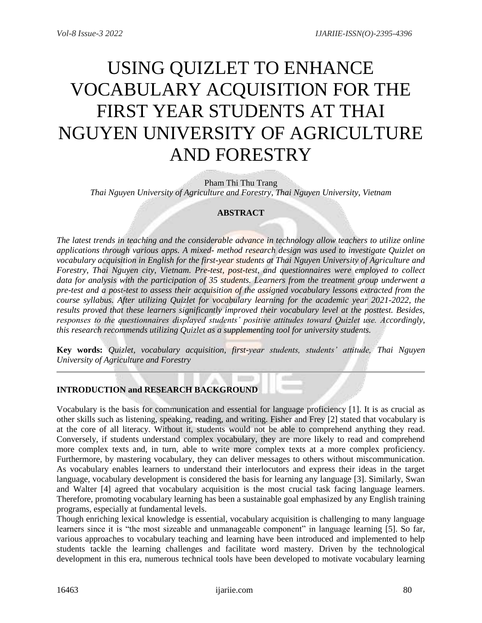# USING QUIZLET TO ENHANCE VOCABULARY ACQUISITION FOR THE FIRST YEAR STUDENTS AT THAI NGUYEN UNIVERSITY OF AGRICULTURE AND FORESTRY

Pham Thi Thu Trang *Thai Nguyen University of Agriculture and Forestry, Thai Nguyen University, Vietnam*

## **ABSTRACT**

*The latest trends in teaching and the considerable advance in technology allow teachers to utilize online applications through various apps. A mixed- method research design was used to investigate Quizlet on vocabulary acquisition in English for the first-year students at Thai Nguyen University of Agriculture and Forestry, Thai Nguyen city, Vietnam. Pre-test, post-test, and questionnaires were employed to collect data for analysis with the participation of 35 students. Learners from the treatment group underwent a pre-test and a post-test to assess their acquisition of the assigned vocabulary lessons extracted from the course syllabus. After utilizing Quizlet for vocabulary learning for the academic year 2021-2022, the results proved that these learners significantly improved their vocabulary level at the posttest. Besides, responses to the questionnaires displayed students' positive attitudes toward Quizlet use. Accordingly, this research recommends utilizing Quizlet as a supplementing tool for university students.*

**Key words:** *Quizlet, vocabulary acquisition, first-year students, students' attitude, Thai Nguyen University of Agriculture and Forestry*

# **INTRODUCTION and RESEARCH BACKGROUND**

Vocabulary is the basis for communication and essential for language proficiency [1]. It is as crucial as other skills such as listening, speaking, reading, and writing. Fisher and Frey [2] stated that vocabulary is at the core of all literacy. Without it, students would not be able to comprehend anything they read. Conversely, if students understand complex vocabulary, they are more likely to read and comprehend more complex texts and, in turn, able to write more complex texts at a more complex proficiency. Furthermore, by mastering vocabulary, they can deliver messages to others without miscommunication. As vocabulary enables learners to understand their interlocutors and express their ideas in the target language, vocabulary development is considered the basis for learning any language [3]. Similarly, Swan and Walter [4] agreed that vocabulary acquisition is the most crucial task facing language learners. Therefore, promoting vocabulary learning has been a sustainable goal emphasized by any English training programs, especially at fundamental levels.

Though enriching lexical knowledge is essential, vocabulary acquisition is challenging to many language learners since it is "the most sizeable and unmanageable component" in language learning [5]. So far, various approaches to vocabulary teaching and learning have been introduced and implemented to help students tackle the learning challenges and facilitate word mastery. Driven by the technological development in this era, numerous technical tools have been developed to motivate vocabulary learning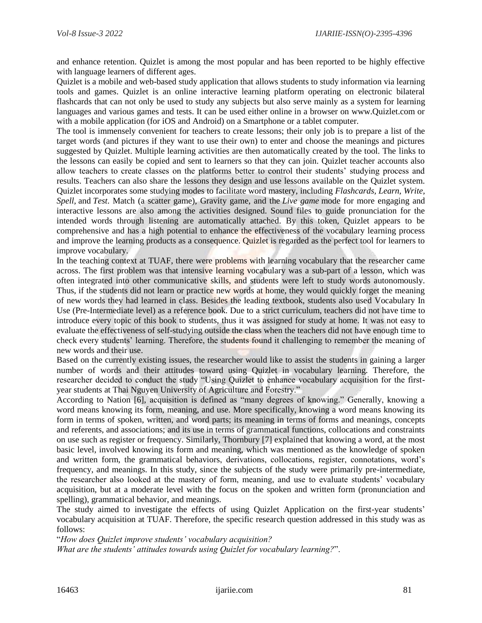and enhance retention. Quizlet is among the most popular and has been reported to be highly effective with language learners of different ages.

Quizlet is a mobile and web-based study application that allows students to study information via learning tools and games. Quizlet is an online interactive learning platform operating on electronic bilateral flashcards that can not only be used to study any subjects but also serve mainly as a system for learning languages and various games and tests. It can be used either online in a browser on www.Quizlet.com or with a mobile application (for iOS and Android) on a Smartphone or a tablet computer.

The tool is immensely convenient for teachers to create lessons; their only job is to prepare a list of the target words (and pictures if they want to use their own) to enter and choose the meanings and pictures suggested by Quizlet. Multiple learning activities are then automatically created by the tool. The links to the lessons can easily be copied and sent to learners so that they can join. Quizlet teacher accounts also allow teachers to create classes on the platforms better to control their students' studying process and results. Teachers can also share the lessons they design and use lessons available on the Quizlet system. Quizlet incorporates some studying modes to facilitate word mastery, including *Flashcards, Learn, Write, Spell,* and *Test*. Match (a scatter game), Gravity game, and the *Live game* mode for more engaging and interactive lessons are also among the activities designed. Sound files to guide pronunciation for the intended words through listening are automatically attached. By this token, Quizlet appears to be comprehensive and has a high potential to enhance the effectiveness of the vocabulary learning process and improve the learning products as a consequence. Quizlet is regarded as the perfect tool for learners to improve vocabulary.

In the teaching context at TUAF, there were problems with learning vocabulary that the researcher came across. The first problem was that intensive learning vocabulary was a sub-part of a lesson, which was often integrated into other communicative skills, and students were left to study words autonomously. Thus, if the students did not learn or practice new words at home, they would quickly forget the meaning of new words they had learned in class. Besides the leading textbook, students also used Vocabulary In Use (Pre-Intermediate level) as a reference book. Due to a strict curriculum, teachers did not have time to introduce every topic of this book to students, thus it was assigned for study at home. It was not easy to evaluate the effectiveness of self-studying outside the class when the teachers did not have enough time to check every students' learning. Therefore, the students found it challenging to remember the meaning of new words and their use.

Based on the currently existing issues, the researcher would like to assist the students in gaining a larger number of words and their attitudes toward using Quizlet in vocabulary learning. Therefore, the researcher decided to conduct the study "Using Quizlet to enhance vocabulary acquisition for the firstyear students at Thai Nguyen University of Agriculture and Forestry."

According to Nation [6], acquisition is defined as "many degrees of knowing." Generally, knowing a word means knowing its form, meaning, and use. More specifically, knowing a word means knowing its form in terms of spoken, written, and word parts; its meaning in terms of forms and meanings, concepts and referents, and associations; and its use in terms of grammatical functions, collocations and constraints on use such as register or frequency. Similarly, Thornbury [7] explained that knowing a word, at the most basic level, involved knowing its form and meaning, which was mentioned as the knowledge of spoken and written form, the grammatical behaviors, derivations, collocations, register, connotations, word's frequency, and meanings. In this study, since the subjects of the study were primarily pre-intermediate, the researcher also looked at the mastery of form, meaning, and use to evaluate students' vocabulary acquisition, but at a moderate level with the focus on the spoken and written form (pronunciation and spelling), grammatical behavior, and meanings.

The study aimed to investigate the effects of using Quizlet Application on the first-year students' vocabulary acquisition at TUAF. Therefore, the specific research question addressed in this study was as follows:

"*How does Quizlet improve students' vocabulary acquisition?*

*What are the students' attitudes towards using Quizlet for vocabulary learning?*".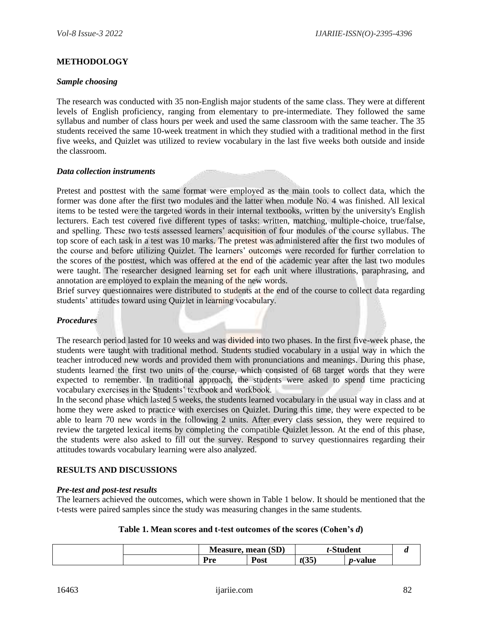## **METHODOLOGY**

#### *Sample choosing*

The research was conducted with 35 non-English major students of the same class. They were at different levels of English proficiency, ranging from elementary to pre-intermediate. They followed the same syllabus and number of class hours per week and used the same classroom with the same teacher. The 35 students received the same 10-week treatment in which they studied with a traditional method in the first five weeks, and Quizlet was utilized to review vocabulary in the last five weeks both outside and inside the classroom.

#### *Data collection instruments*

Pretest and posttest with the same format were employed as the main tools to collect data, which the former was done after the first two modules and the latter when module No. 4 was finished. All lexical items to be tested were the targeted words in their internal textbooks, written by the university's English lecturers. Each test covered five different types of tasks: written, matching, multiple-choice, true/false, and spelling. These two tests assessed learners' acquisition of four modules of the course syllabus. The top score of each task in a test was 10 marks. The pretest was administered after the first two modules of the course and before utilizing Quizlet. The learners' outcomes were recorded for further correlation to the scores of the posttest, which was offered at the end of the academic year after the last two modules were taught. The researcher designed learning set for each unit where illustrations, paraphrasing, and annotation are employed to explain the meaning of the new words.

Brief survey questionnaires were distributed to students at the end of the course to collect data regarding students' attitudes toward using Quizlet in learning vocabulary.

## *Procedures*

The research period lasted for 10 weeks and was divided into two phases. In the first five-week phase, the students were taught with traditional method. Students studied vocabulary in a usual way in which the teacher introduced new words and provided them with pronunciations and meanings. During this phase, students learned the first two units of the course, which consisted of 68 target words that they were expected to remember. In traditional approach, the students were asked to spend time practicing vocabulary exercises in the Students' textbook and workbook.

In the second phase which lasted 5 weeks, the students learned vocabulary in the usual way in class and at home they were asked to practice with exercises on Quizlet. During this time, they were expected to be able to learn 70 new words in the following 2 units. After every class session, they were required to review the targeted lexical items by completing the compatible Quizlet lesson. At the end of this phase, the students were also asked to fill out the survey. Respond to survey questionnaires regarding their attitudes towards vocabulary learning were also analyzed.

## **RESULTS AND DISCUSSIONS**

#### *Pre-test and post-test results*

The learners achieved the outcomes, which were shown in Table 1 below. It should be mentioned that the t-tests were paired samples since the study was measuring changes in the same students.

#### **Table 1. Mean scores and t-test outcomes of the scores (Cohen's** *d***)**

|  | (SD)<br><b>Measure</b><br>mean |                                | $^{\text{c}}$ +udent |        |  |
|--|--------------------------------|--------------------------------|----------------------|--------|--|
|  | ,,,,<br>                       | $\blacksquare$<br>2001<br>้บรเ | $(0 -$<br>いぃ         | ·value |  |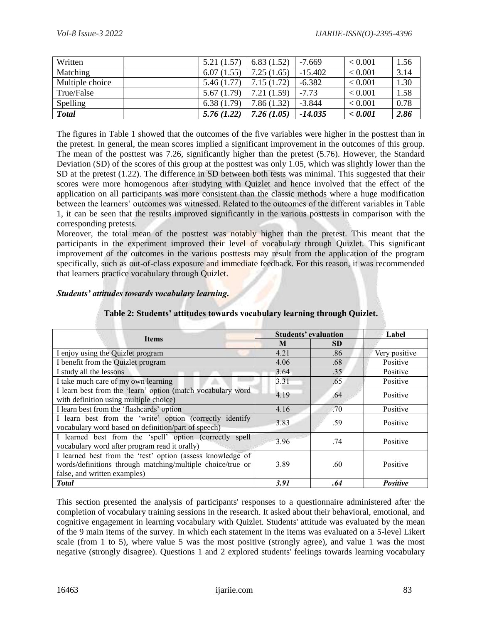| Written         | 5.21(1.57) | 6.83(1.52) | $-7.669$  | < 0.001     | 1.56 |
|-----------------|------------|------------|-----------|-------------|------|
| Matching        | 6.07(1.55) | 7.25(1.65) | $-15.402$ | ${}< 0.001$ | 3.14 |
| Multiple choice | 5.46(1.77) | 7.15(1.72) | $-6.382$  | < 0.001     | 1.30 |
| True/False      | 5.67(1.79) | 7.21(1.59) | $-7.73$   | < 0.001     | 1.58 |
| Spelling        | 6.38(1.79) | 7.86(1.32) | $-3.844$  | < 0.001     | 0.78 |
| <b>Total</b>    | 5.76(1.22) | 7.26(1.05) | $-14.035$ | < 0.001     | 2.86 |

The figures in Table 1 showed that the outcomes of the five variables were higher in the posttest than in the pretest. In general, the mean scores implied a significant improvement in the outcomes of this group. The mean of the posttest was 7.26, significantly higher than the pretest (5.76). However, the Standard Deviation (SD) of the scores of this group at the posttest was only 1.05, which was slightly lower than the SD at the pretest (1.22). The difference in SD between both tests was minimal. This suggested that their scores were more homogenous after studying with Quizlet and hence involved that the effect of the application on all participants was more consistent than the classic methods where a huge modification between the learners' outcomes was witnessed. Related to the outcomes of the different variables in Table 1, it can be seen that the results improved significantly in the various posttests in comparison with the corresponding pretests.

Moreover, the total mean of the posttest was notably higher than the pretest. This meant that the participants in the experiment improved their level of vocabulary through Quizlet. This significant improvement of the outcomes in the various posttests may result from the application of the program specifically, such as out-of-class exposure and immediate feedback. For this reason, it was recommended that learners practice vocabulary through Quizlet.

## *Students' attitudes towards vocabulary learning.*

| <b>Items</b>                                                                                                                                             | Students' evaluation |           | Label           |  |
|----------------------------------------------------------------------------------------------------------------------------------------------------------|----------------------|-----------|-----------------|--|
|                                                                                                                                                          | M                    | <b>SD</b> |                 |  |
| I enjoy using the Quizlet program                                                                                                                        | 4.21                 | .86       | Very positive   |  |
| I benefit from the Quizlet program                                                                                                                       | 4.06                 | .68       | Positive        |  |
| I study all the lessons                                                                                                                                  | 3.64                 | .35       | Positive        |  |
| I take much care of my own learning                                                                                                                      | 3.31                 | .65       | Positive        |  |
| I learn best from the 'learn' option (match vocabulary word<br>with definition using multiple choice)                                                    | 4.19                 | .64       | Positive        |  |
| I learn best from the 'flashcards' option                                                                                                                | 4.16                 | .70       | Positive        |  |
| I learn best from the 'write' option (correctly identify<br>vocabulary word based on definition/part of speech)                                          | 3.83                 | .59       | Positive        |  |
| I learned best from the 'spell' option (correctly spell<br>vocabulary word after program read it orally)                                                 | 3.96                 | .74       | Positive        |  |
| I learned best from the 'test' option (assess knowledge of<br>words/definitions through matching/multiple choice/true or<br>false, and written examples) | 3.89                 | .60       | Positive        |  |
| <b>T</b> otal                                                                                                                                            | 3.91                 | .64       | <b>Positive</b> |  |

# **Table 2: Students' attitudes towards vocabulary learning through Quizlet.**

 $\overline{\phantom{a}}$ 

This section presented the analysis of participants' responses to a questionnaire administered after the completion of vocabulary training sessions in the research. It asked about their behavioral, emotional, and cognitive engagement in learning vocabulary with Quizlet. Students' attitude was evaluated by the mean of the 9 main items of the survey. In which each statement in the items was evaluated on a 5-level Likert scale (from 1 to 5), where value 5 was the most positive (strongly agree), and value 1 was the most negative (strongly disagree). Questions 1 and 2 explored students' feelings towards learning vocabulary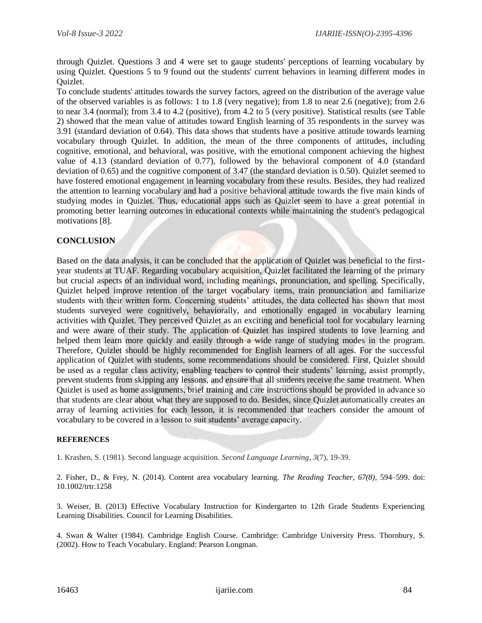through Quizlet. Questions 3 and 4 were set to gauge students' perceptions of learning vocabulary by using Quizlet. Questions 5 to 9 found out the students' current behaviors in learning different modes in Quizlet.

To conclude students' attitudes towards the survey factors, agreed on the distribution of the average value of the observed variables is as follows: 1 to 1.8 (very negative); from 1.8 to near 2.6 (negative); from 2.6 to near 3.4 (normal); from 3.4 to 4.2 (positive), from 4.2 to 5 (very positive). Statistical results (see Table 2) showed that the mean value of attitudes toward English learning of 35 respondents in the survey was 3.91 (standard deviation of 0.64). This data shows that students have a positive attitude towards learning vocabulary through Quizlet. In addition, the mean of the three components of attitudes, including cognitive, emotional, and behavioral, was positive, with the emotional component achieving the highest value of 4.13 (standard deviation of 0.77), followed by the behavioral component of 4.0 (standard deviation of 0.65) and the cognitive component of 3.47 (the standard deviation is 0.50). Quizlet seemed to have fostered emotional engagement in learning vocabulary from these results. Besides, they had realized the attention to learning vocabulary and had a positive behavioral attitude towards the five main kinds of studying modes in Quizlet. Thus, educational apps such as Quizlet seem to have a great potential in promoting better learning outcomes in educational contexts while maintaining the student's pedagogical motivations [8].

# **CONCLUSION**

Based on the data analysis, it can be concluded that the application of Quizlet was beneficial to the firstyear students at TUAF. Regarding vocabulary acquisition, Quizlet facilitated the learning of the primary but crucial aspects of an individual word, including meanings, pronunciation, and spelling. Specifically, Quizlet helped improve retention of the target vocabulary items, train pronunciation and familiarize students with their written form. Concerning students' attitudes, the data collected has shown that most students surveyed were cognitively, behaviorally, and emotionally engaged in vocabulary learning activities with Quizlet. They perceived Quizlet as an exciting and beneficial tool for vocabulary learning and were aware of their study. The application of Quizlet has inspired students to love learning and helped them learn more quickly and easily through a wide range of studying modes in the program. Therefore, Quizlet should be highly recommended for English learners of all ages. For the successful application of Quizlet with students, some recommendations should be considered. First, Quizlet should be used as a regular class activity, enabling teachers to control their students' learning, assist promptly, prevent students from skipping any lessons, and ensure that all students receive the same treatment. When Quizlet is used as home assignments, brief training and care instructions should be provided in advance so that students are clear about what they are supposed to do. Besides, since Quizlet automatically creates an array of learning activities for each lesson, it is recommended that teachers consider the amount of vocabulary to be covered in a lesson to suit students' average capacity.

#### **REFERENCES**

1. Krashen, S. (1981). Second language acquisition. *Second Language Learning*, *3*(7), 19-39.

2. Fisher, D., & Frey, N. (2014). Content area vocabulary learning. *The Reading Teacher, 67(8)*, 594–599. doi: 10.1002/trtr.1258

3. Weiser, B. (2013) Effective Vocabulary Instruction for Kindergarten to 12th Grade Students Experiencing Learning Disabilities. Council for Learning Disabilities.

4. Swan & Walter (1984). Cambridge English Course. Cambridge: Cambridge University Press. Thornbury, S. (2002). How to Teach Vocabulary. England: Pearson Longman.